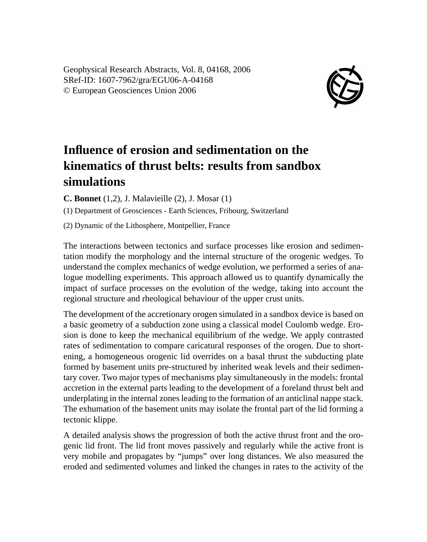Geophysical Research Abstracts, Vol. 8, 04168, 2006 SRef-ID: 1607-7962/gra/EGU06-A-04168 © European Geosciences Union 2006



## **Influence of erosion and sedimentation on the kinematics of thrust belts: results from sandbox simulations**

**C. Bonnet** (1,2), J. Malavieille (2), J. Mosar (1)

(1) Department of Geosciences - Earth Sciences, Fribourg, Switzerland

(2) Dynamic of the Lithosphere, Montpellier, France

The interactions between tectonics and surface processes like erosion and sedimentation modify the morphology and the internal structure of the orogenic wedges. To understand the complex mechanics of wedge evolution, we performed a series of analogue modelling experiments. This approach allowed us to quantify dynamically the impact of surface processes on the evolution of the wedge, taking into account the regional structure and rheological behaviour of the upper crust units.

The development of the accretionary orogen simulated in a sandbox device is based on a basic geometry of a subduction zone using a classical model Coulomb wedge. Erosion is done to keep the mechanical equilibrium of the wedge. We apply contrasted rates of sedimentation to compare caricatural responses of the orogen. Due to shortening, a homogeneous orogenic lid overrides on a basal thrust the subducting plate formed by basement units pre-structured by inherited weak levels and their sedimentary cover. Two major types of mechanisms play simultaneously in the models: frontal accretion in the external parts leading to the development of a foreland thrust belt and underplating in the internal zones leading to the formation of an anticlinal nappe stack. The exhumation of the basement units may isolate the frontal part of the lid forming a tectonic klippe.

A detailed analysis shows the progression of both the active thrust front and the orogenic lid front. The lid front moves passively and regularly while the active front is very mobile and propagates by "jumps" over long distances. We also measured the eroded and sedimented volumes and linked the changes in rates to the activity of the